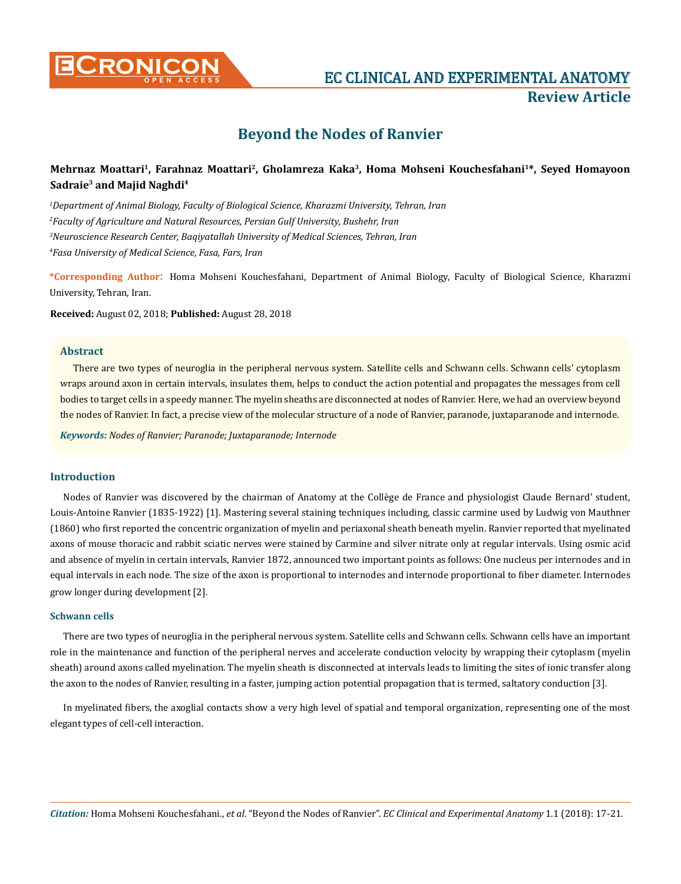

**CRONICON EC CLINICAL AND EXPERIMENTAL ANATOMY Review Article**

# **Beyond the Nodes of Ranvier**

# **Mehrnaz Moattari1, Farahnaz Moattari2, Gholamreza Kaka3, Homa Mohseni Kouchesfahani1\*, Seyed Homayoon Sadraie3 and Majid Naghdi4**

 *Department of Animal Biology, Faculty of Biological Science, Kharazmi University, Tehran, Iran Faculty of Agriculture and Natural Resources, Persian Gulf University, Bushehr, Iran Neuroscience Research Center, Baqiyatallah University of Medical Sciences, Tehran, Iran Fasa University of Medical Science, Fasa, Fars, Iran*

**\*Corresponding Author**: Homa Mohseni Kouchesfahani, Department of Animal Biology, Faculty of Biological Science, Kharazmi University, Tehran, Iran.

**Received:** August 02, 2018; **Published:** August 28, 2018

#### **Abstract**

There are two types of neuroglia in the peripheral nervous system. Satellite cells and Schwann cells. Schwann cells' cytoplasm wraps around axon in certain intervals, insulates them, helps to conduct the action potential and propagates the messages from cell bodies to target cells in a speedy manner. The myelin sheaths are disconnected at nodes of Ranvier. Here, we had an overview beyond the nodes of Ranvier. In fact, a precise view of the molecular structure of a node of Ranvier, paranode, juxtaparanode and internode.

*Keywords: Nodes of Ranvier; Paranode; Juxtaparanode; Internode*

#### **Introduction**

Nodes of Ranvier was discovered by the chairman of Anatomy at the Collège de France and physiologist Claude Bernard' student, Louis-Antoine Ranvier (1835-1922) [1]. Mastering several staining techniques including, classic carmine used by Ludwig von Mauthner (1860) who first reported the concentric organization of myelin and periaxonal sheath beneath myelin. Ranvier reported that myelinated axons of mouse thoracic and rabbit sciatic nerves were stained by Carmine and silver nitrate only at regular intervals. Using osmic acid and absence of myelin in certain intervals, Ranvier 1872, announced two important points as follows: One nucleus per internodes and in equal intervals in each node. The size of the axon is proportional to internodes and internode proportional to fiber diameter. Internodes grow longer during development [2].

#### **Schwann cells**

There are two types of neuroglia in the peripheral nervous system. Satellite cells and Schwann cells. Schwann cells have an important role in the maintenance and function of the peripheral nerves and accelerate conduction velocity by wrapping their cytoplasm (myelin sheath) around axons called myelination. The myelin sheath is disconnected at intervals leads to limiting the sites of ionic transfer along the axon to the nodes of Ranvier, resulting in a faster, jumping action potential propagation that is termed, saltatory conduction [3].

In myelinated fibers, the axoglial contacts show a very high level of spatial and temporal organization, representing one of the most elegant types of cell-cell interaction.

*Citation:* Homa Mohseni Kouchesfahani., *et al*. "Beyond the Nodes of Ranvier". *EC Clinical and Experimental Anatomy* 1.1 (2018): 17-21.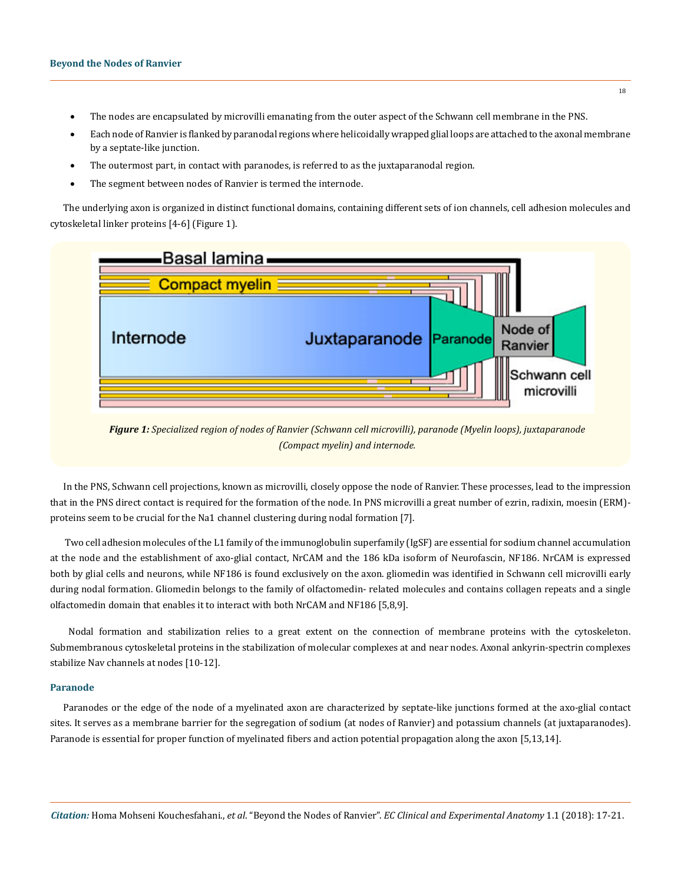- The nodes are encapsulated by microvilli emanating from the outer aspect of the Schwann cell membrane in the PNS.
- Each node of Ranvier is flanked by paranodal regions where helicoidally wrapped glial loops are attached to the axonal membrane by a septate-like junction.
- The outermost part, in contact with paranodes, is referred to as the juxtaparanodal region.
- The segment between nodes of Ranvier is termed the internode.

The underlying axon is organized in distinct functional domains, containing different sets of ion channels, cell adhesion molecules and cytoskeletal linker proteins [4-6] (Figure 1).



*Figure 1: Specialized region of nodes of Ranvier (Schwann cell microvilli), paranode (Myelin loops), juxtaparanode (Compact myelin) and internode.*

In the PNS, Schwann cell projections, known as microvilli, closely oppose the node of Ranvier. These processes, lead to the impression that in the PNS direct contact is required for the formation of the node. In PNS microvilli a great number of ezrin, radixin, moesin (ERM) proteins seem to be crucial for the Na1 channel clustering during nodal formation [7].

 Two cell adhesion molecules of the L1 family of the immunoglobulin superfamily (IgSF) are essential for sodium channel accumulation at the node and the establishment of axo-glial contact, NrCAM and the 186 kDa isoform of Neurofascin, NF186. NrCAM is expressed both by glial cells and neurons, while NF186 is found exclusively on the axon. gliomedin was identified in Schwann cell microvilli early during nodal formation. Gliomedin belongs to the family of olfactomedin- related molecules and contains collagen repeats and a single olfactomedin domain that enables it to interact with both NrCAM and NF186 [5,8,9].

Nodal formation and stabilization relies to a great extent on the connection of membrane proteins with the cytoskeleton. Submembranous cytoskeletal proteins in the stabilization of molecular complexes at and near nodes. Axonal ankyrin-spectrin complexes stabilize Nav channels at nodes [10-12].

#### **Paranode**

Paranodes or the edge of the node of a myelinated axon are characterized by septate-like junctions formed at the axo-glial contact sites. It serves as a membrane barrier for the segregation of sodium (at nodes of Ranvier) and potassium channels (at juxtaparanodes). Paranode is essential for proper function of myelinated fibers and action potential propagation along the axon [5,13,14].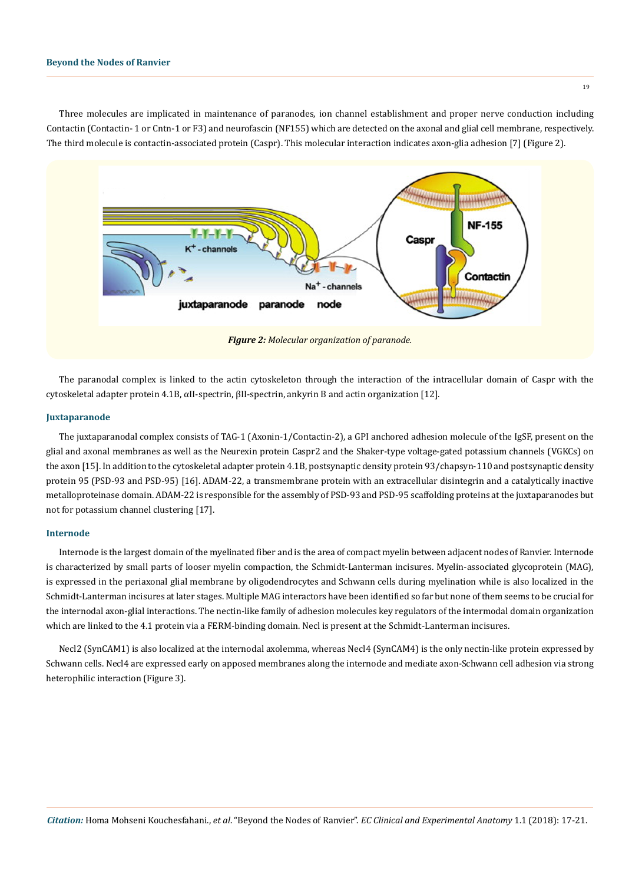Three molecules are implicated in maintenance of paranodes, ion channel establishment and proper nerve conduction including Contactin (Contactin- 1 or Cntn-1 or F3) and neurofascin (NF155) which are detected on the axonal and glial cell membrane, respectively. The third molecule is contactin-associated protein (Caspr). This molecular interaction indicates axon-glia adhesion [7] (Figure 2).



The paranodal complex is linked to the actin cytoskeleton through the interaction of the intracellular domain of Caspr with the cytoskeletal adapter protein 4.1B, αII-spectrin, βII-spectrin, ankyrin B and actin organization [12].

#### **Juxtaparanode**

The juxtaparanodal complex consists of TAG-1 (Axonin-1/Contactin-2), a GPI anchored adhesion molecule of the IgSF, present on the glial and axonal membranes as well as the Neurexin protein Caspr2 and the Shaker-type voltage-gated potassium channels (VGKCs) on the axon [15]. In addition to the cytoskeletal adapter protein 4.1B, postsynaptic density protein 93/chapsyn-110 and postsynaptic density protein 95 (PSD-93 and PSD-95) [16]. ADAM-22, a transmembrane protein with an extracellular disintegrin and a catalytically inactive metalloproteinase domain. ADAM-22 is responsible for the assembly of PSD-93 and PSD-95 scaffolding proteins at the juxtaparanodes but not for potassium channel clustering [17].

#### **Internode**

Internode is the largest domain of the myelinated fiber and is the area of compact myelin between adjacent nodes of Ranvier. Internode is characterized by small parts of looser myelin compaction, the Schmidt-Lanterman incisures. Myelin-associated glycoprotein (MAG), is expressed in the periaxonal glial membrane by oligodendrocytes and Schwann cells during myelination while is also localized in the Schmidt-Lanterman incisures at later stages. Multiple MAG interactors have been identified so far but none of them seems to be crucial for the internodal axon-glial interactions. The nectin-like family of adhesion molecules key regulators of the intermodal domain organization which are linked to the 4.1 protein via a FERM-binding domain. Necl is present at the Schmidt-Lanterman incisures.

Necl2 (SynCAM1) is also localized at the internodal axolemma, whereas Necl4 (SynCAM4) is the only nectin-like protein expressed by Schwann cells. Necl4 are expressed early on apposed membranes along the internode and mediate axon-Schwann cell adhesion via strong heterophilic interaction (Figure 3).

19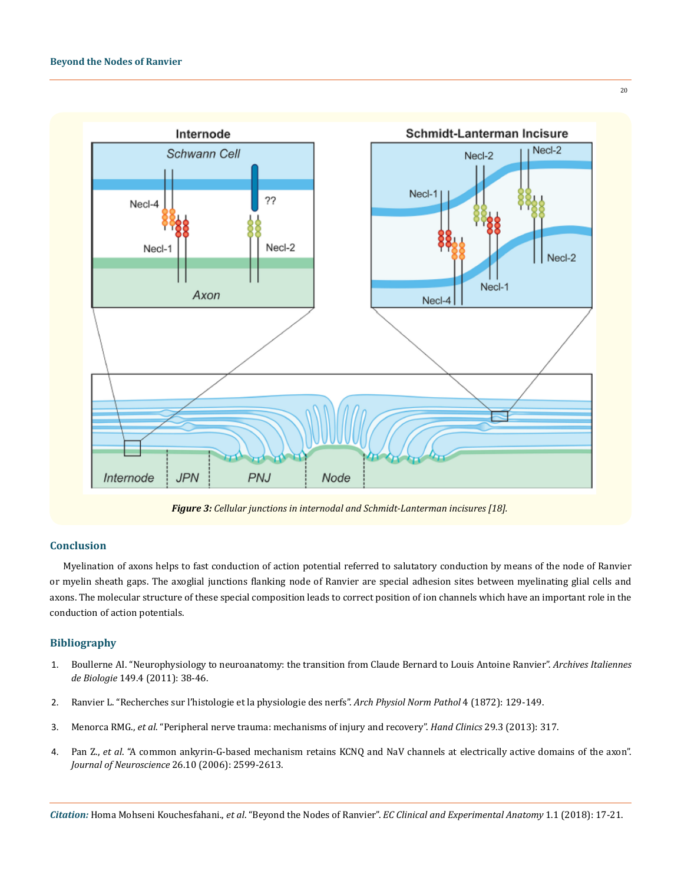

*Figure 3: Cellular junctions in internodal and Schmidt-Lanterman incisures [18].*

## **Conclusion**

Myelination of axons helps to fast conduction of action potential referred to salutatory conduction by means of the node of Ranvier or myelin sheath gaps. The axoglial junctions flanking node of Ranvier are special adhesion sites between myelinating glial cells and axons. The molecular structure of these special composition leads to correct position of ion channels which have an important role in the conduction of action potentials.

## **Bibliography**

- 1. [Boullerne AI. "Neurophysiology to neuroanatomy: the transition from Claude Bernard to Louis Antoine Ranvier".](http://www.architalbiol.org/aib/article/viewFile/1434/pdf) *Archives Italiennes de Biologie* [149.4 \(2011\): 38-46.](http://www.architalbiol.org/aib/article/viewFile/1434/pdf)
- 2. Ranvier L. "Recherches sur l'histologie et la physiologie des nerfs". *Arch Physiol Norm Pathol* 4 (1872): 129-149.
- 3. Menorca RMG., *et al*[. "Peripheral nerve trauma: mechanisms of injury and recovery".](https://www.ncbi.nlm.nih.gov/pmc/articles/PMC4408553/) *Hand Clinics* 29.3 (2013): 317.
- 4. Pan Z., *et al*[. "A common ankyrin-G-based mechanism retains KCNQ and NaV channels at electrically active domains of the axon".](https://www.ncbi.nlm.nih.gov/pubmed/16525039)  *[Journal of Neuroscience](https://www.ncbi.nlm.nih.gov/pubmed/16525039)* 26.10 (2006): 2599-2613.

*Citation:* Homa Mohseni Kouchesfahani., *et al*. "Beyond the Nodes of Ranvier". *EC Clinical and Experimental Anatomy* 1.1 (2018): 17-21.

20